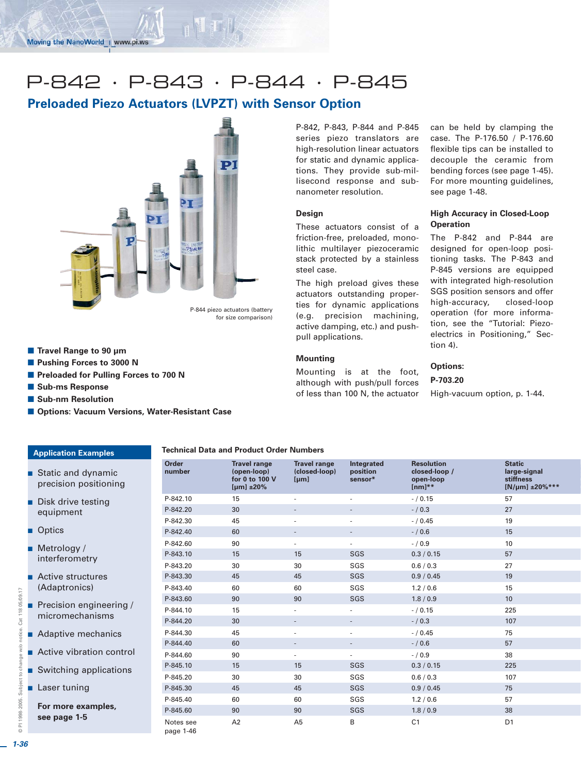# P-842 · P-843 · P-844 · P-845

# **Preloaded Piezo Actuators (LVPZT) with Sensor Option**



P-844 piezo actuators (battery for size comparison)

**Technical Data and Product Order Numbers**

- Travel Range to 90 µm
- -**Pushing Forces to 3000 N**
- -**Preloaded for Pulling Forces to 700 N**
- Sub-ms Response
- $\blacksquare$  Sub-nm Resolution
- $\blacksquare$  **Options: Vacuum Versions, Water-Resistant Case**

#### **Applicati**

- **Static and dynamic** precis
- Disk drive testing equip
- Optics
- Metrology / interf
- Active structures  $(A**da**$
- **Precision engineering /** micro
- **Adaptive mechanics**
- **Active vibration control**
- **Switching applications**
- **Laser tuning**

**For m see pa** 

P-842, P-843, P-844 and P-845 series piezo translators are high-resolution linear actuators for static and dynamic applications. They provide sub-millisecond response and subnanometer resolution.

# **Design**

These actuators consist of a friction-free, preloaded, monolithic multilayer piezoceramic stack protected by a stainless steel case.

The high preload gives these actuators outstanding properties for dynamic applications (e.g. precision machining, active damping, etc.) and pushpull applications.

# **Mounting**

Mounting is at the foot, although with push/pull forces of less than 100 N, the actuator can be held by clamping the case. The P-176.50 / P-176.60 flexible tips can be installed to decouple the ceramic from bending forces (see page 1-45). For more mounting guidelines, see page 1-48.

## **High Accuracy in Closed-Loop Operation**

The P-842 and P-844 are designed for open-loop positioning tasks. The P-843 and P-845 versions are equipped with integrated high-resolution SGS position sensors and offer high-accuracy, closed-loop operation (for more information, see the "Tutorial: Piezoelectrics in Positioning," Section 4).

# **Options:**

**P-703.20** High-vacuum option, p. 1-44.

| <b>UVILLAGILIPICS</b>                         |                        |                                                                         |                                              |                                   |                                                              |                                                                            |
|-----------------------------------------------|------------------------|-------------------------------------------------------------------------|----------------------------------------------|-----------------------------------|--------------------------------------------------------------|----------------------------------------------------------------------------|
| and dynamic<br>ion positioning                | Order<br>number        | <b>Travel range</b><br>(open-loop)<br>for 0 to 100 V<br>$[µm] \pm 20\%$ | <b>Travel range</b><br>(closed-loop)<br>[µm] | Integrated<br>position<br>sensor* | <b>Resolution</b><br>closed-loop /<br>open-loop<br>$[nm]$ ** | <b>Static</b><br>large-signal<br><b>stiffness</b><br>[N/µm] $\pm 20\%$ *** |
| Irive testing<br>ment                         | P-842.10               | 15                                                                      | $\sim$                                       | $\sim$                            | $- / 0.15$                                                   | 57                                                                         |
|                                               | P-842.20               | 30                                                                      | $\overline{\phantom{a}}$                     |                                   | $- / 0.3$                                                    | 27                                                                         |
|                                               | P-842.30               | 45                                                                      | $\sim$                                       | $\sim$                            | $- / 0.45$                                                   | 19                                                                         |
|                                               | P-842.40               | 60                                                                      | $\overline{\phantom{a}}$                     | $\overline{\phantom{a}}$          | $- / 0.6$                                                    | 15                                                                         |
| / logy<br>erometry                            | P-842.60               | 90                                                                      | $\overline{\phantom{a}}$                     | $\overline{\phantom{a}}$          | $- / 0.9$                                                    | 10                                                                         |
|                                               | P-843.10               | 15                                                                      | 15                                           | SGS                               | 0.3 / 0.15                                                   | 57                                                                         |
|                                               | P-843.20               | 30                                                                      | 30                                           | SGS                               | 0.6 / 0.3                                                    | 27                                                                         |
| e structures<br>tronics)                      | P-843.30               | 45                                                                      | 45                                           | SGS                               | 0.9 / 0.45                                                   | 19                                                                         |
|                                               | P-843.40               | 60                                                                      | 60                                           | SGS                               | 1.2 / 0.6                                                    | 15                                                                         |
| $\frac{1}{2}$ ion engineering /<br>mechanisms | P-843.60               | 90                                                                      | 90                                           | SGS                               | 1.8/0.9                                                      | 10                                                                         |
|                                               | P-844.10               | 15                                                                      | $\sim$                                       | $\overline{\phantom{a}}$          | $- / 0.15$                                                   | 225                                                                        |
|                                               | P-844.20               | 30                                                                      | $\overline{\phantom{a}}$                     | $\overline{\phantom{a}}$          | $- / 0.3$                                                    | 107                                                                        |
| tive mechanics<br>e vibration control         | P-844.30               | 45                                                                      | $\sim$                                       | $\sim$                            | $- / 0.45$                                                   | 75                                                                         |
|                                               | P-844.40               | 60                                                                      | $\overline{\phantom{a}}$                     | $\overline{\phantom{a}}$          | $- / 0.6$                                                    | 57                                                                         |
|                                               | P-844.60               | 90                                                                      | $\sim$                                       | $\sim$                            | $- / 0.9$                                                    | 38                                                                         |
| hing applications                             | P-845.10               | 15                                                                      | 15                                           | SGS                               | 0.3 / 0.15                                                   | 225                                                                        |
|                                               | P-845.20               | 30                                                                      | 30                                           | SGS                               | 0.6 / 0.3                                                    | 107                                                                        |
| tuning                                        | P-845.30               | 45                                                                      | 45                                           | SGS                               | 0.9 / 0.45                                                   | 75                                                                         |
| ore examples,<br>age 1-5                      | P-845.40               | 60                                                                      | 60                                           | SGS                               | 1.2 / 0.6                                                    | 57                                                                         |
|                                               | P-845.60               | 90                                                                      | 90                                           | SGS                               | 1.8 / 0.9                                                    | 38                                                                         |
|                                               | Notes see<br>page 1-46 | A <sub>2</sub>                                                          | A <sub>5</sub>                               | B                                 | C <sub>1</sub>                                               | D <sub>1</sub>                                                             |

© PI 1998-2005. Subject to change w/o notice. Cat 118 05/09.17

Subject to change w/o

1998-2005.

Cat 118 05/09.17